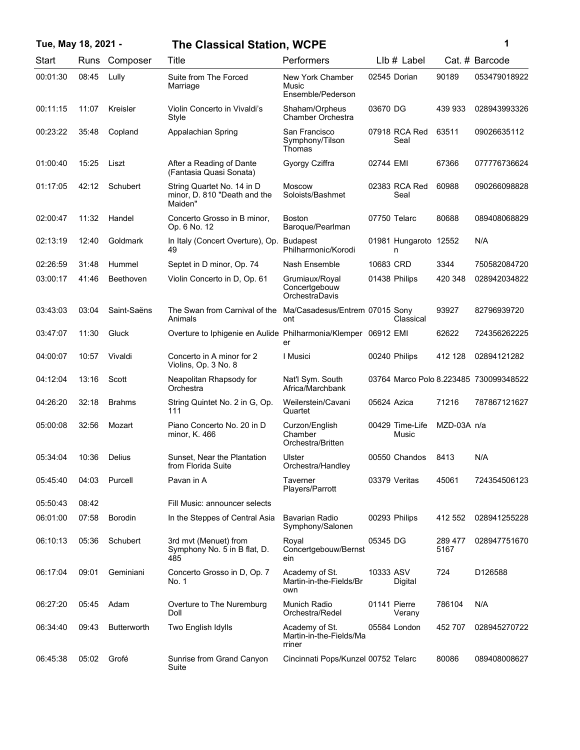## **Tue, May 18, 2021 - 1 The Classical Station, WCPE**

| Start    | Runs  | Composer           | Title                                                                 | Performers                                          |             | LIb # Label                |                 | Cat. # Barcode                         |
|----------|-------|--------------------|-----------------------------------------------------------------------|-----------------------------------------------------|-------------|----------------------------|-----------------|----------------------------------------|
| 00:01:30 | 08:45 | Lully              | Suite from The Forced<br>Marriage                                     | New York Chamber<br>Music<br>Ensemble/Pederson      |             | 02545 Dorian               | 90189           | 053479018922                           |
| 00:11:15 | 11:07 | Kreisler           | Violin Concerto in Vivaldi's<br>Style                                 | Shaham/Orpheus<br>Chamber Orchestra                 | 03670 DG    |                            | 439 933         | 028943993326                           |
| 00:23:22 | 35:48 | Copland            | Appalachian Spring                                                    | San Francisco<br>Symphony/Tilson<br>Thomas          |             | 07918 RCA Red<br>Seal      | 63511           | 09026635112                            |
| 01:00:40 | 15:25 | Liszt              | After a Reading of Dante<br>(Fantasia Quasi Sonata)                   | Gyorgy Cziffra                                      | 02744 EMI   |                            | 67366           | 077776736624                           |
| 01:17:05 | 42:12 | Schubert           | String Quartet No. 14 in D<br>minor, D. 810 "Death and the<br>Maiden" | <b>Moscow</b><br>Soloists/Bashmet                   |             | 02383 RCA Red<br>Seal      | 60988           | 090266098828                           |
| 02:00:47 | 11:32 | Handel             | Concerto Grosso in B minor,<br>Op. 6 No. 12                           | <b>Boston</b><br>Baroque/Pearlman                   |             | 07750 Telarc               | 80688           | 089408068829                           |
| 02:13:19 | 12:40 | Goldmark           | In Italy (Concert Overture), Op.<br>49                                | <b>Budapest</b><br>Philharmonic/Korodi              |             | 01981 Hungaroto 12552<br>n |                 | N/A                                    |
| 02:26:59 | 31:48 | Hummel             | Septet in D minor, Op. 74                                             | Nash Ensemble                                       | 10683 CRD   |                            | 3344            | 750582084720                           |
| 03:00:17 | 41:46 | <b>Beethoven</b>   | Violin Concerto in D, Op. 61                                          | Grumiaux/Royal<br>Concertgebouw<br>OrchestraDavis   |             | 01438 Philips              | 420 348         | 028942034822                           |
| 03:43:03 | 03:04 | Saint-Saëns        | The Swan from Carnival of the<br>Animals                              | Ma/Casadesus/Entrem 07015 Sony<br>ont               |             | Classical                  | 93927           | 82796939720                            |
| 03:47:07 | 11:30 | Gluck              | Overture to Iphigenie en Aulide Philharmonia/Klemper 06912 EMI        | er                                                  |             |                            | 62622           | 724356262225                           |
| 04:00:07 | 10:57 | Vivaldi            | Concerto in A minor for 2<br>Violins, Op. 3 No. 8                     | I Musici                                            |             | 00240 Philips              | 412 128         | 02894121282                            |
| 04:12:04 | 13:16 | Scott              | Neapolitan Rhapsody for<br>Orchestra                                  | Nat'l Sym. South<br>Africa/Marchbank                |             |                            |                 | 03764 Marco Polo 8.223485 730099348522 |
| 04:26:20 | 32:18 | <b>Brahms</b>      | String Quintet No. 2 in G, Op.<br>111                                 | Weilerstein/Cavani<br>Quartet                       | 05624 Azica |                            | 71216           | 787867121627                           |
| 05:00:08 | 32:56 | Mozart             | Piano Concerto No. 20 in D<br>minor, K. 466                           | Curzon/English<br>Chamber<br>Orchestra/Britten      |             | 00429 Time-Life<br>Music   | MZD-03A n/a     |                                        |
| 05:34:04 | 10:36 | Delius             | Sunset. Near the Plantation<br>from Florida Suite                     | Ulster<br>Orchestra/Handley                         |             | 00550 Chandos              | 8413            | N/A                                    |
| 05:45:40 |       | 04:03 Purcell      | Pavan in A                                                            | Taverner<br>Players/Parrott                         |             | 03379 Veritas              | 45061           | 724354506123                           |
| 05:50:43 | 08:42 |                    | Fill Music: announcer selects                                         |                                                     |             |                            |                 |                                        |
| 06:01:00 | 07:58 | <b>Borodin</b>     | In the Steppes of Central Asia                                        | Bavarian Radio<br>Symphony/Salonen                  |             | 00293 Philips              | 412 552         | 028941255228                           |
| 06:10:13 | 05:36 | Schubert           | 3rd mvt (Menuet) from<br>Symphony No. 5 in B flat, D.<br>485          | Royal<br>Concertgebouw/Bernst<br>ein                | 05345 DG    |                            | 289 477<br>5167 | 028947751670                           |
| 06:17:04 | 09:01 | Geminiani          | Concerto Grosso in D, Op. 7<br>No. 1                                  | Academy of St.<br>Martin-in-the-Fields/Br<br>own    | 10333 ASV   | Digital                    | 724             | D126588                                |
| 06:27:20 | 05:45 | Adam               | Overture to The Nuremburg<br>Doll                                     | Munich Radio<br>Orchestra/Redel                     |             | 01141 Pierre<br>Verany     | 786104          | N/A                                    |
| 06:34:40 | 09:43 | <b>Butterworth</b> | Two English Idylls                                                    | Academy of St.<br>Martin-in-the-Fields/Ma<br>rriner |             | 05584 London               | 452 707         | 028945270722                           |
| 06:45:38 | 05:02 | Grofé              | Sunrise from Grand Canyon<br>Suite                                    | Cincinnati Pops/Kunzel 00752 Telarc                 |             |                            | 80086           | 089408008627                           |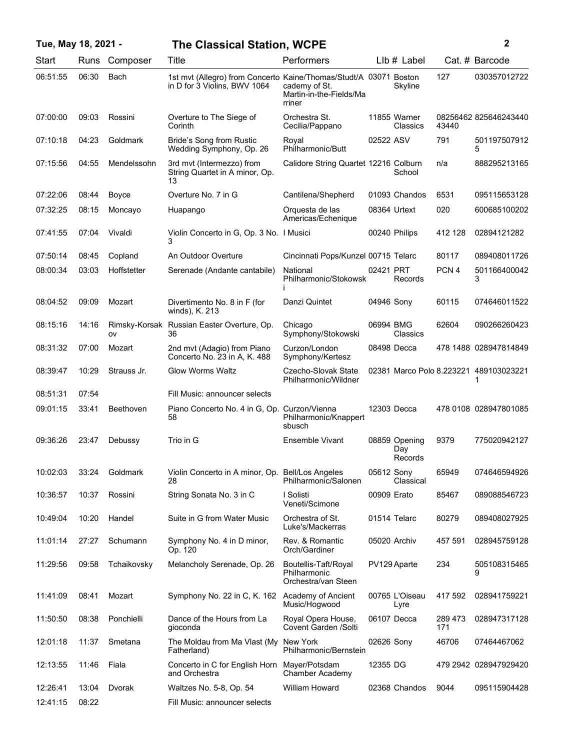| Tue, May 18, 2021 - |       |             | <b>The Classical Station, WCPE</b>                                                                |                                                             |             |                                 |                  | $\mathbf{2}$                           |
|---------------------|-------|-------------|---------------------------------------------------------------------------------------------------|-------------------------------------------------------------|-------------|---------------------------------|------------------|----------------------------------------|
| Start               | Runs  | Composer    | Title                                                                                             | Performers                                                  |             | $Llb#$ Label                    |                  | Cat. # Barcode                         |
| 06:51:55            | 06:30 | Bach        | 1st mvt (Allegro) from Concerto Kaine/Thomas/Studt/A 03071 Boston<br>in D for 3 Violins, BWV 1064 | cademy of St.<br>Martin-in-the-Fields/Ma<br>rriner          |             | Skyline                         | 127              | 030357012722                           |
| 07:00:00            | 09:03 | Rossini     | Overture to The Siege of<br>Corinth                                                               | Orchestra St.<br>Cecilia/Pappano                            |             | 11855 Warner<br>Classics        | 43440            | 08256462 825646243440                  |
| 07:10:18            | 04:23 | Goldmark    | Bride's Song from Rustic<br>Wedding Symphony, Op. 26                                              | Roval<br>Philharmonic/Butt                                  | 02522 ASV   |                                 | 791              | 501197507912<br>5                      |
| 07:15:56            | 04:55 | Mendelssohn | 3rd mvt (Intermezzo) from<br>String Quartet in A minor, Op.<br>13                                 | Calidore String Quartet 12216 Colburn                       |             | School                          | n/a              | 888295213165                           |
| 07:22:06            | 08:44 | Boyce       | Overture No. 7 in G                                                                               | Cantilena/Shepherd                                          |             | 01093 Chandos                   | 6531             | 095115653128                           |
| 07:32:25            | 08:15 | Moncayo     | Huapango                                                                                          | Orquesta de las<br>Americas/Echenique                       |             | 08364 Urtext                    | 020              | 600685100202                           |
| 07:41:55            | 07:04 | Vivaldi     | Violin Concerto in G, Op. 3 No. I Musici<br>3                                                     |                                                             |             | 00240 Philips                   | 412 128          | 02894121282                            |
| 07:50:14            | 08:45 | Copland     | An Outdoor Overture                                                                               | Cincinnati Pops/Kunzel 00715 Telarc                         |             |                                 | 80117            | 089408011726                           |
| 08:00:34            | 03:03 | Hoffstetter | Serenade (Andante cantabile)                                                                      | National<br>Philharmonic/Stokowsk                           | 02421 PRT   | Records                         | PCN <sub>4</sub> | 501166400042<br>3                      |
| 08:04:52            | 09:09 | Mozart      | Divertimento No. 8 in F (for<br>winds), K. 213                                                    | Danzi Quintet                                               | 04946 Sony  |                                 | 60115            | 074646011522                           |
| 08:15:16            | 14:16 | ov          | Rimsky-Korsak Russian Easter Overture, Op.<br>36                                                  | Chicago<br>Symphony/Stokowski                               | 06994 BMG   | Classics                        | 62604            | 090266260423                           |
| 08:31:32            | 07:00 | Mozart      | 2nd mvt (Adagio) from Piano<br>Concerto No. 23 in A, K. 488                                       | Curzon/London<br>Symphony/Kertesz                           |             | 08498 Decca                     |                  | 478 1488 028947814849                  |
| 08:39:47            | 10:29 | Strauss Jr. | <b>Glow Worms Waltz</b>                                                                           | Czecho-Slovak State<br>Philharmonic/Wildner                 |             |                                 |                  | 02381 Marco Polo 8.223221 489103023221 |
| 08:51:31            | 07:54 |             | Fill Music: announcer selects                                                                     |                                                             |             |                                 |                  |                                        |
| 09:01:15            | 33:41 | Beethoven   | Piano Concerto No. 4 in G, Op. Curzon/Vienna<br>58                                                | Philharmonic/Knappert<br>sbusch                             |             | 12303 Decca                     |                  | 478 0108 028947801085                  |
| 09:36:26            | 23:47 | Debussy     | Trio in G                                                                                         | Ensemble Vivant                                             |             | 08859 Opening<br>Day<br>Records | 9379             | 775020942127                           |
| 10:02:03            | 33:24 | Goldmark    | Violin Concerto in A minor, Op. Bell/Los Angeles<br>28                                            | Philharmonic/Salonen                                        | 05612 Sony  | Classical                       | 65949            | 074646594926                           |
| 10:36:57            | 10:37 | Rossini     | String Sonata No. 3 in C                                                                          | I Solisti<br>Veneti/Scimone                                 | 00909 Erato |                                 | 85467            | 089088546723                           |
| 10:49:04            | 10:20 | Handel      | Suite in G from Water Music                                                                       | Orchestra of St.<br>Luke's/Mackerras                        |             | 01514 Telarc                    | 80279            | 089408027925                           |
| 11:01:14            | 27:27 | Schumann    | Symphony No. 4 in D minor,<br>Op. 120                                                             | Rev. & Romantic<br>Orch/Gardiner                            |             | 05020 Archiv                    | 457 591          | 028945759128                           |
| 11:29:56            | 09:58 | Tchaikovsky | Melancholy Serenade, Op. 26                                                                       | Boutellis-Taft/Royal<br>Philharmonic<br>Orchestra/van Steen |             | PV129 Aparte                    | 234              | 505108315465<br>9                      |
| 11:41:09            | 08:41 | Mozart      | Symphony No. 22 in C, K. 162                                                                      | Academy of Ancient<br>Music/Hogwood                         |             | 00765 L'Oiseau<br>Lyre          | 417 592          | 028941759221                           |
| 11:50:50            | 08:38 | Ponchielli  | Dance of the Hours from La<br>qioconda                                                            | Royal Opera House,<br>Covent Garden /Solti                  |             | 06107 Decca                     | 289 473<br>171   | 028947317128                           |
| 12:01:18            | 11:37 | Smetana     | The Moldau from Ma Vlast (My<br>Fatherland)                                                       | New York<br>Philharmonic/Bernstein                          | 02626 Sony  |                                 | 46706            | 07464467062                            |
| 12:13:55            | 11:46 | Fiala       | Concerto in C for English Horn<br>and Orchestra                                                   | Mayer/Potsdam<br>Chamber Academy                            | 12355 DG    |                                 |                  | 479 2942 028947929420                  |
| 12:26:41            | 13:04 | Dvorak      | Waltzes No. 5-8, Op. 54                                                                           | William Howard                                              |             | 02368 Chandos                   | 9044             | 095115904428                           |
| 12:41:15            | 08:22 |             | Fill Music: announcer selects                                                                     |                                                             |             |                                 |                  |                                        |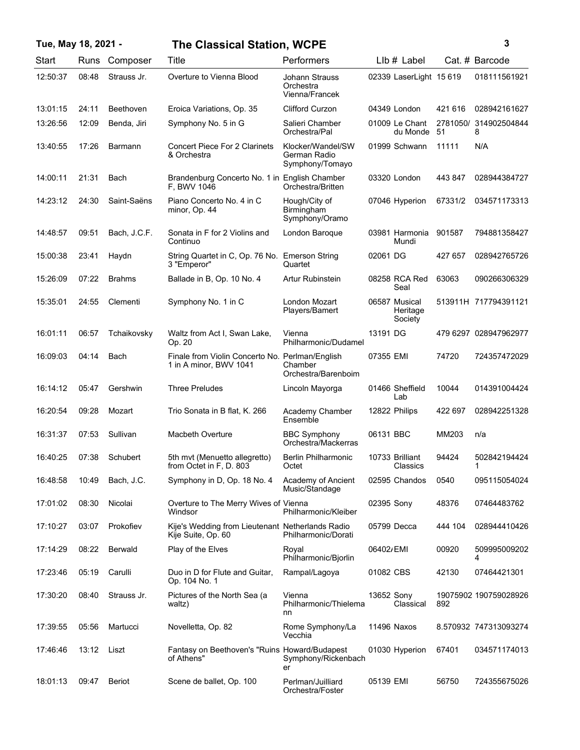## **Tue, May 18, 2021 - 3 The Classical Station, WCPE**

| <b>Start</b> | Runs  | Composer       | Title                                                                     | Performers                                           |             | LIb # Label                          |         | Cat. # Barcode             |
|--------------|-------|----------------|---------------------------------------------------------------------------|------------------------------------------------------|-------------|--------------------------------------|---------|----------------------------|
| 12:50:37     | 08:48 | Strauss Jr.    | Overture to Vienna Blood                                                  | Johann Strauss<br>Orchestra<br>Vienna/Francek        |             | 02339 LaserLight 15 619              |         | 018111561921               |
| 13:01:15     | 24:11 | Beethoven      | Eroica Variations, Op. 35                                                 | <b>Clifford Curzon</b>                               |             | 04349 London                         | 421 616 | 028942161627               |
| 13:26:56     | 12:09 | Benda, Jiri    | Symphony No. 5 in G                                                       | Salieri Chamber<br>Orchestra/Pal                     |             | 01009 Le Chant<br>du Monde           | -51     | 2781050/ 314902504844<br>8 |
| 13:40:55     | 17:26 | <b>Barmann</b> | <b>Concert Piece For 2 Clarinets</b><br>& Orchestra                       | Klocker/Wandel/SW<br>German Radio<br>Symphony/Tomayo |             | 01999 Schwann                        | 11111   | N/A                        |
| 14:00:11     | 21:31 | Bach           | Brandenburg Concerto No. 1 in English Chamber<br>F, BWV 1046              | Orchestra/Britten                                    |             | 03320 London                         | 443 847 | 028944384727               |
| 14:23:12     | 24:30 | Saint-Saëns    | Piano Concerto No. 4 in C<br>minor, Op. 44                                | Hough/City of<br>Birmingham<br>Symphony/Oramo        |             | 07046 Hyperion                       | 67331/2 | 034571173313               |
| 14:48:57     | 09:51 | Bach, J.C.F.   | Sonata in F for 2 Violins and<br>Continuo                                 | London Baroque                                       |             | 03981 Harmonia<br>Mundi              | 901587  | 794881358427               |
| 15:00:38     | 23:41 | Haydn          | String Quartet in C, Op. 76 No. Emerson String<br>3 "Emperor"             | Quartet                                              | 02061 DG    |                                      | 427 657 | 028942765726               |
| 15:26:09     | 07:22 | <b>Brahms</b>  | Ballade in B, Op. 10 No. 4                                                | Artur Rubinstein                                     |             | 08258 RCA Red<br>Seal                | 63063   | 090266306329               |
| 15:35:01     | 24:55 | Clementi       | Symphony No. 1 in C                                                       | London Mozart<br>Players/Bamert                      |             | 06587 Musical<br>Heritage<br>Society |         | 513911H 717794391121       |
| 16:01:11     | 06:57 | Tchaikovsky    | Waltz from Act I, Swan Lake,<br>Op. 20                                    | Vienna<br>Philharmonic/Dudamel                       | 13191 DG    |                                      |         | 479 6297 028947962977      |
| 16:09:03     | 04:14 | Bach           | Finale from Violin Concerto No. Perlman/English<br>1 in A minor, BWV 1041 | Chamber<br>Orchestra/Barenboim                       | 07355 EMI   |                                      | 74720   | 724357472029               |
| 16:14:12     | 05:47 | Gershwin       | <b>Three Preludes</b>                                                     | Lincoln Mayorga                                      |             | 01466 Sheffield<br>Lab               | 10044   | 014391004424               |
| 16:20:54     | 09:28 | Mozart         | Trio Sonata in B flat, K. 266                                             | Academy Chamber<br>Ensemble                          |             | 12822 Philips                        | 422 697 | 028942251328               |
| 16:31:37     | 07:53 | Sullivan       | <b>Macbeth Overture</b>                                                   | <b>BBC Symphony</b><br>Orchestra/Mackerras           | 06131 BBC   |                                      | MM203   | n/a                        |
| 16:40:25     | 07:38 | Schubert       | 5th mvt (Menuetto allegretto)<br>from Octet in F, D. 803                  | <b>Berlin Philharmonic</b><br>Octet                  |             | 10733 Brilliant<br><b>Classics</b>   | 94424   | 502842194424               |
| 16:48:58     | 10:49 | Bach, J.C.     | Symphony in D, Op. 18 No. 4                                               | Academy of Ancient<br>Music/Standage                 |             | 02595 Chandos                        | 0540    | 095115054024               |
| 17:01:02     | 08:30 | Nicolai        | Overture to The Merry Wives of Vienna<br>Windsor                          | Philharmonic/Kleiber                                 | 02395 Sony  |                                      | 48376   | 07464483762                |
| 17:10:27     | 03:07 | Prokofiev      | Kije's Wedding from Lieutenant Netherlands Radio<br>Kije Suite, Op. 60    | Philharmonic/Dorati                                  | 05799 Decca |                                      | 444 104 | 028944410426               |
| 17:14:29     | 08:22 | <b>Berwald</b> | Play of the Elves                                                         | Royal<br>Philharmonic/Bjorlin                        | 06402/EMI   |                                      | 00920   | 509995009202<br>4          |
| 17:23:46     | 05:19 | Carulli        | Duo in D for Flute and Guitar,<br>Op. 104 No. 1                           | Rampal/Lagoya                                        | 01082 CBS   |                                      | 42130   | 07464421301                |
| 17:30:20     | 08:40 | Strauss Jr.    | Pictures of the North Sea (a<br>waltz)                                    | Vienna<br>Philharmonic/Thielema<br>nn                | 13652 Sony  | Classical                            | 892     | 19075902 190759028926      |
| 17:39:55     | 05:56 | Martucci       | Novelletta, Op. 82                                                        | Rome Symphony/La<br>Vecchia                          | 11496 Naxos |                                      |         | 8.570932 747313093274      |
| 17:46:46     | 13:12 | Liszt          | Fantasy on Beethoven's "Ruins Howard/Budapest<br>of Athens"               | Symphony/Rickenbach<br>er                            |             | 01030 Hyperion                       | 67401   | 034571174013               |
| 18:01:13     | 09:47 | <b>Beriot</b>  | Scene de ballet, Op. 100                                                  | Perlman/Juilliard<br>Orchestra/Foster                | 05139 EMI   |                                      | 56750   | 724355675026               |